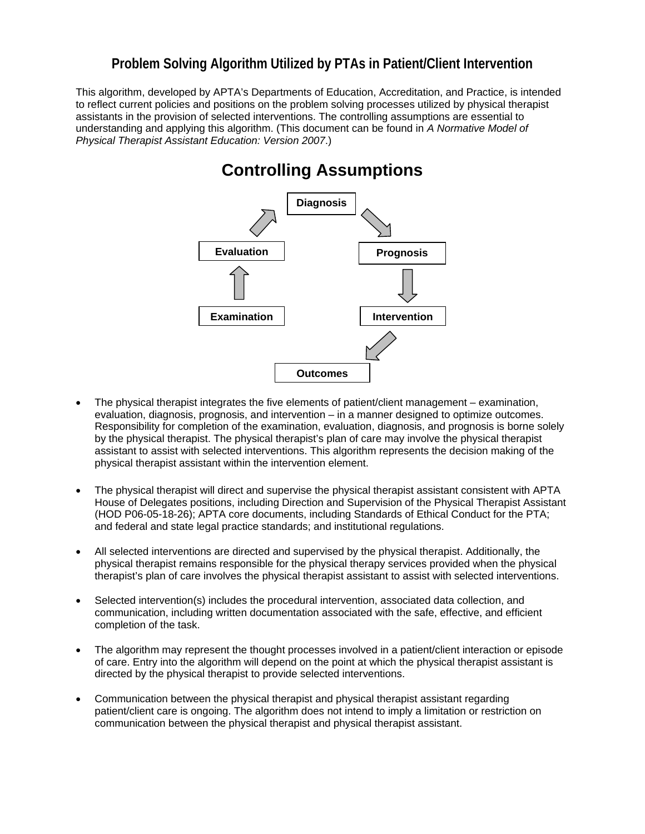## **Problem Solving Algorithm Utilized by PTAs in Patient/Client Intervention**

This algorithm, developed by APTA's Departments of Education, Accreditation, and Practice, is intended to reflect current policies and positions on the problem solving processes utilized by physical therapist assistants in the provision of selected interventions. The controlling assumptions are essential to understanding and applying this algorithm. (This document can be found in *A Normative Model of Physical Therapist Assistant Education: Version 2007*.)

## **Controlling Assumptions Examination Intervention Evaluation Outcomes Prognosis Diagnosis**

- The physical therapist integrates the five elements of patient/client management examination, evaluation, diagnosis, prognosis, and intervention – in a manner designed to optimize outcomes. Responsibility for completion of the examination, evaluation, diagnosis, and prognosis is borne solely by the physical therapist. The physical therapist's plan of care may involve the physical therapist assistant to assist with selected interventions. This algorithm represents the decision making of the physical therapist assistant within the intervention element.
- The physical therapist will direct and supervise the physical therapist assistant consistent with APTA House of Delegates positions, including Direction and Supervision of the Physical Therapist Assistant (HOD P06-05-18-26); APTA core documents, including Standards of Ethical Conduct for the PTA; and federal and state legal practice standards; and institutional regulations.
- All selected interventions are directed and supervised by the physical therapist. Additionally, the physical therapist remains responsible for the physical therapy services provided when the physical therapist's plan of care involves the physical therapist assistant to assist with selected interventions.
- Selected intervention(s) includes the procedural intervention, associated data collection, and communication, including written documentation associated with the safe, effective, and efficient completion of the task.
- The algorithm may represent the thought processes involved in a patient/client interaction or episode of care. Entry into the algorithm will depend on the point at which the physical therapist assistant is directed by the physical therapist to provide selected interventions.
- Communication between the physical therapist and physical therapist assistant regarding patient/client care is ongoing. The algorithm does not intend to imply a limitation or restriction on communication between the physical therapist and physical therapist assistant.